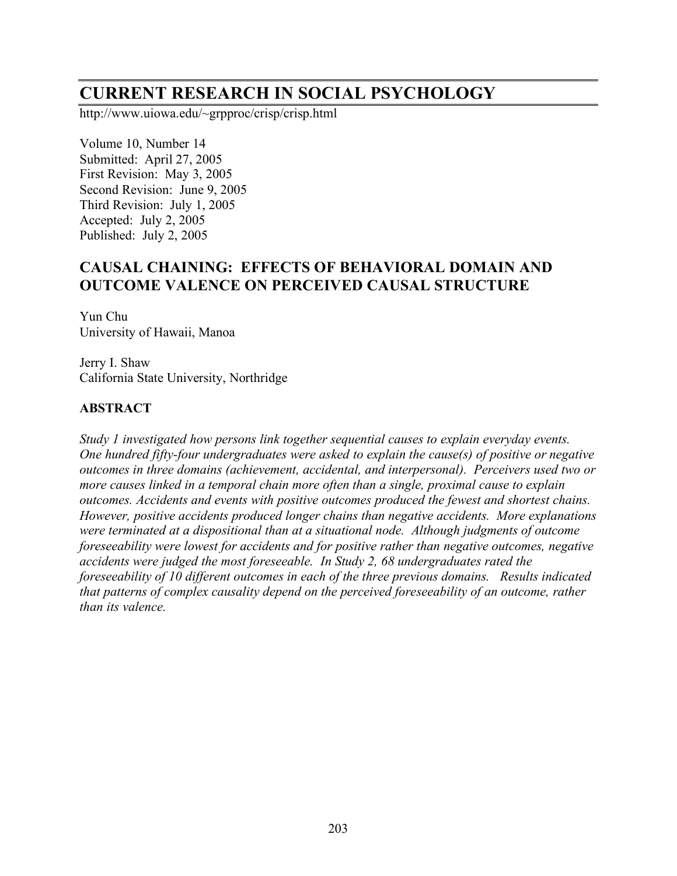# **CURRENT RESEARCH IN SOCIAL PSYCHOLOGY**

http://www.uiowa.edu/~grpproc/crisp/crisp.html

Volume 10, Number 14 Submitted: April 27, 2005 First Revision: May 3, 2005 Second Revision: June 9, 2005 Third Revision: July 1, 2005 Accepted: July 2, 2005 Published: July 2, 2005

# **CAUSAL CHAINING: EFFECTS OF BEHAVIORAL DOMAIN AND OUTCOME VALENCE ON PERCEIVED CAUSAL STRUCTURE**

Yun Chu University of Hawaii, Manoa

Jerry I. Shaw California State University, Northridge

# **ABSTRACT**

*Study 1 investigated how persons link together sequential causes to explain everyday events. One hundred fifty-four undergraduates were asked to explain the cause(s) of positive or negative outcomes in three domains (achievement, accidental, and interpersonal). Perceivers used two or more causes linked in a temporal chain more often than a single, proximal cause to explain outcomes. Accidents and events with positive outcomes produced the fewest and shortest chains. However, positive accidents produced longer chains than negative accidents. More explanations were terminated at a dispositional than at a situational node. Although judgments of outcome foreseeability were lowest for accidents and for positive rather than negative outcomes, negative accidents were judged the most foreseeable. In Study 2, 68 undergraduates rated the foreseeability of 10 different outcomes in each of the three previous domains. Results indicated that patterns of complex causality depend on the perceived foreseeability of an outcome, rather than its valence.*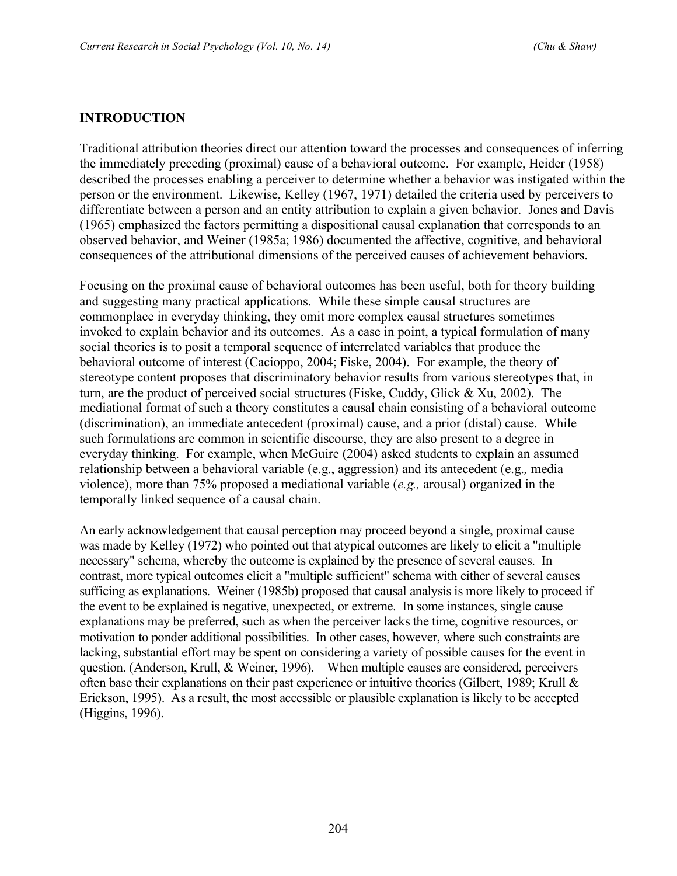### **INTRODUCTION**

Traditional attribution theories direct our attention toward the processes and consequences of inferring the immediately preceding (proximal) cause of a behavioral outcome. For example, Heider (1958) described the processes enabling a perceiver to determine whether a behavior was instigated within the person or the environment. Likewise, Kelley (1967, 1971) detailed the criteria used by perceivers to differentiate between a person and an entity attribution to explain a given behavior. Jones and Davis (1965) emphasized the factors permitting a dispositional causal explanation that corresponds to an observed behavior, and Weiner (1985a; 1986) documented the affective, cognitive, and behavioral consequences of the attributional dimensions of the perceived causes of achievement behaviors.

Focusing on the proximal cause of behavioral outcomes has been useful, both for theory building and suggesting many practical applications. While these simple causal structures are commonplace in everyday thinking, they omit more complex causal structures sometimes invoked to explain behavior and its outcomes. As a case in point, a typical formulation of many social theories is to posit a temporal sequence of interrelated variables that produce the behavioral outcome of interest (Cacioppo, 2004; Fiske, 2004). For example, the theory of stereotype content proposes that discriminatory behavior results from various stereotypes that, in turn, are the product of perceived social structures (Fiske, Cuddy, Glick & Xu, 2002). The mediational format of such a theory constitutes a causal chain consisting of a behavioral outcome (discrimination), an immediate antecedent (proximal) cause, and a prior (distal) cause. While such formulations are common in scientific discourse, they are also present to a degree in everyday thinking. For example, when McGuire (2004) asked students to explain an assumed relationship between a behavioral variable (e.g., aggression) and its antecedent (e.g.*,* media violence), more than 75% proposed a mediational variable (*e.g.,* arousal) organized in the temporally linked sequence of a causal chain.

An early acknowledgement that causal perception may proceed beyond a single, proximal cause was made by Kelley (1972) who pointed out that atypical outcomes are likely to elicit a "multiple necessary" schema, whereby the outcome is explained by the presence of several causes. In contrast, more typical outcomes elicit a "multiple sufficient" schema with either of several causes sufficing as explanations. Weiner (1985b) proposed that causal analysis is more likely to proceed if the event to be explained is negative, unexpected, or extreme. In some instances, single cause explanations may be preferred, such as when the perceiver lacks the time, cognitive resources, or motivation to ponder additional possibilities. In other cases, however, where such constraints are lacking, substantial effort may be spent on considering a variety of possible causes for the event in question. (Anderson, Krull, & Weiner, 1996). When multiple causes are considered, perceivers often base their explanations on their past experience or intuitive theories (Gilbert, 1989; Krull & Erickson, 1995). As a result, the most accessible or plausible explanation is likely to be accepted (Higgins, 1996).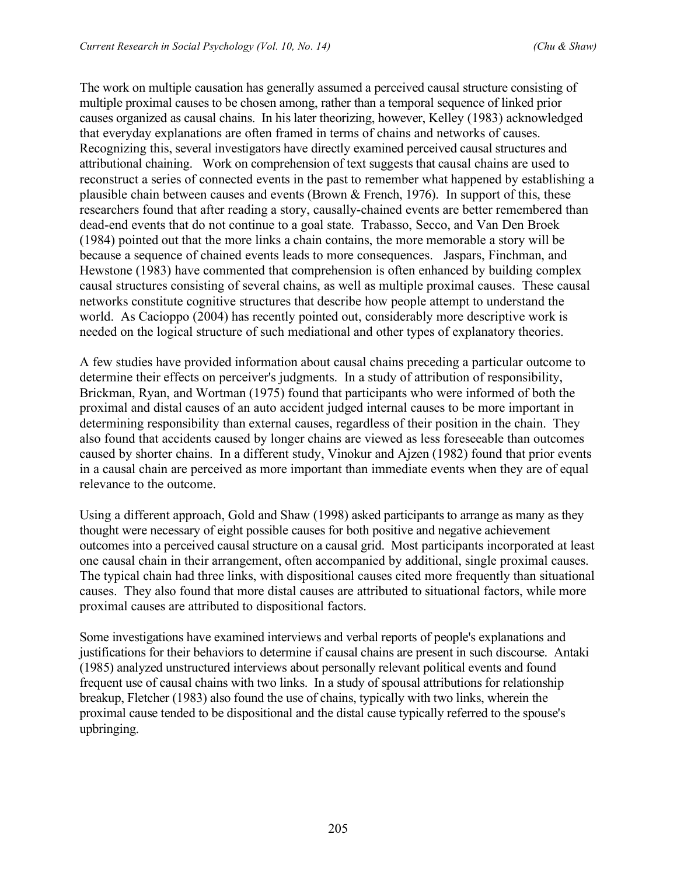The work on multiple causation has generally assumed a perceived causal structure consisting of multiple proximal causes to be chosen among, rather than a temporal sequence of linked prior causes organized as causal chains. In his later theorizing, however, Kelley (1983) acknowledged that everyday explanations are often framed in terms of chains and networks of causes. Recognizing this, several investigators have directly examined perceived causal structures and attributional chaining. Work on comprehension of text suggests that causal chains are used to reconstruct a series of connected events in the past to remember what happened by establishing a plausible chain between causes and events (Brown & French, 1976). In support of this, these researchers found that after reading a story, causally-chained events are better remembered than dead-end events that do not continue to a goal state. Trabasso, Secco, and Van Den Broek (1984) pointed out that the more links a chain contains, the more memorable a story will be because a sequence of chained events leads to more consequences. Jaspars, Finchman, and Hewstone (1983) have commented that comprehension is often enhanced by building complex causal structures consisting of several chains, as well as multiple proximal causes. These causal networks constitute cognitive structures that describe how people attempt to understand the world. As Cacioppo (2004) has recently pointed out, considerably more descriptive work is needed on the logical structure of such mediational and other types of explanatory theories.

A few studies have provided information about causal chains preceding a particular outcome to determine their effects on perceiver's judgments. In a study of attribution of responsibility, Brickman, Ryan, and Wortman (1975) found that participants who were informed of both the proximal and distal causes of an auto accident judged internal causes to be more important in determining responsibility than external causes, regardless of their position in the chain. They also found that accidents caused by longer chains are viewed as less foreseeable than outcomes caused by shorter chains. In a different study, Vinokur and Ajzen (1982) found that prior events in a causal chain are perceived as more important than immediate events when they are of equal relevance to the outcome.

Using a different approach, Gold and Shaw (1998) asked participants to arrange as many as they thought were necessary of eight possible causes for both positive and negative achievement outcomes into a perceived causal structure on a causal grid. Most participants incorporated at least one causal chain in their arrangement, often accompanied by additional, single proximal causes. The typical chain had three links, with dispositional causes cited more frequently than situational causes. They also found that more distal causes are attributed to situational factors, while more proximal causes are attributed to dispositional factors.

Some investigations have examined interviews and verbal reports of people's explanations and justifications for their behaviors to determine if causal chains are present in such discourse. Antaki (1985) analyzed unstructured interviews about personally relevant political events and found frequent use of causal chains with two links. In a study of spousal attributions for relationship breakup, Fletcher (1983) also found the use of chains, typically with two links, wherein the proximal cause tended to be dispositional and the distal cause typically referred to the spouse's upbringing.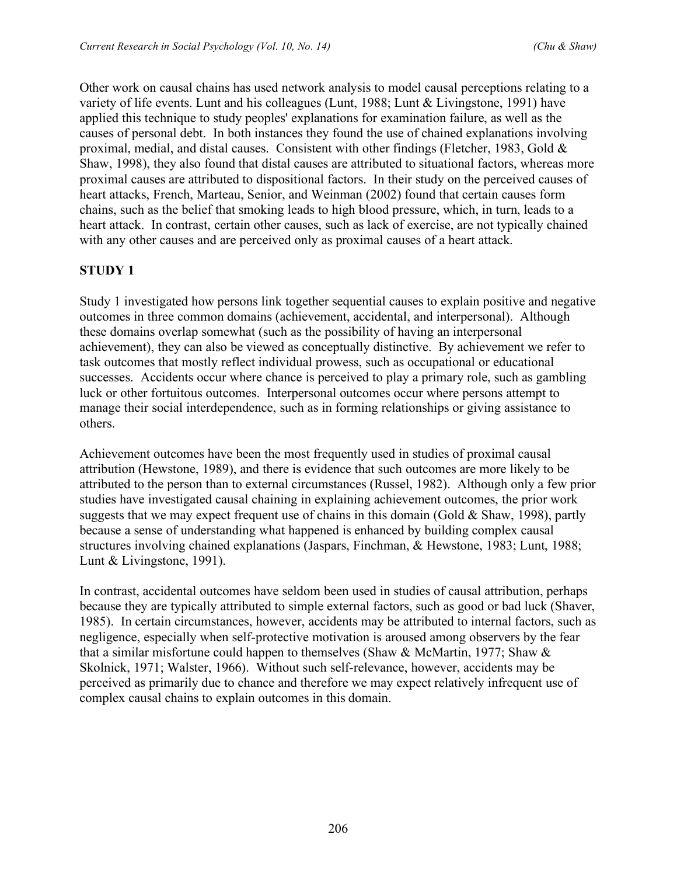Other work on causal chains has used network analysis to model causal perceptions relating to a variety of life events. Lunt and his colleagues (Lunt, 1988; Lunt & Livingstone, 1991) have applied this technique to study peoples' explanations for examination failure, as well as the causes of personal debt. In both instances they found the use of chained explanations involving proximal, medial, and distal causes. Consistent with other findings (Fletcher, 1983, Gold & Shaw, 1998), they also found that distal causes are attributed to situational factors, whereas more proximal causes are attributed to dispositional factors. In their study on the perceived causes of heart attacks, French, Marteau, Senior, and Weinman (2002) found that certain causes form chains, such as the belief that smoking leads to high blood pressure, which, in turn, leads to a heart attack. In contrast, certain other causes, such as lack of exercise, are not typically chained with any other causes and are perceived only as proximal causes of a heart attack.

# **STUDY 1**

Study 1 investigated how persons link together sequential causes to explain positive and negative outcomes in three common domains (achievement, accidental, and interpersonal). Although these domains overlap somewhat (such as the possibility of having an interpersonal achievement), they can also be viewed as conceptually distinctive. By achievement we refer to task outcomes that mostly reflect individual prowess, such as occupational or educational successes. Accidents occur where chance is perceived to play a primary role, such as gambling luck or other fortuitous outcomes. Interpersonal outcomes occur where persons attempt to manage their social interdependence, such as in forming relationships or giving assistance to others.

Achievement outcomes have been the most frequently used in studies of proximal causal attribution (Hewstone, 1989), and there is evidence that such outcomes are more likely to be attributed to the person than to external circumstances (Russel, 1982). Although only a few prior studies have investigated causal chaining in explaining achievement outcomes, the prior work suggests that we may expect frequent use of chains in this domain (Gold  $&$  Shaw, 1998), partly because a sense of understanding what happened is enhanced by building complex causal structures involving chained explanations (Jaspars, Finchman, & Hewstone, 1983; Lunt, 1988; Lunt & Livingstone, 1991).

In contrast, accidental outcomes have seldom been used in studies of causal attribution, perhaps because they are typically attributed to simple external factors, such as good or bad luck (Shaver, 1985). In certain circumstances, however, accidents may be attributed to internal factors, such as negligence, especially when self-protective motivation is aroused among observers by the fear that a similar misfortune could happen to themselves (Shaw  $&$  McMartin, 1977; Shaw  $&$ Skolnick, 1971; Walster, 1966). Without such self-relevance, however, accidents may be perceived as primarily due to chance and therefore we may expect relatively infrequent use of complex causal chains to explain outcomes in this domain.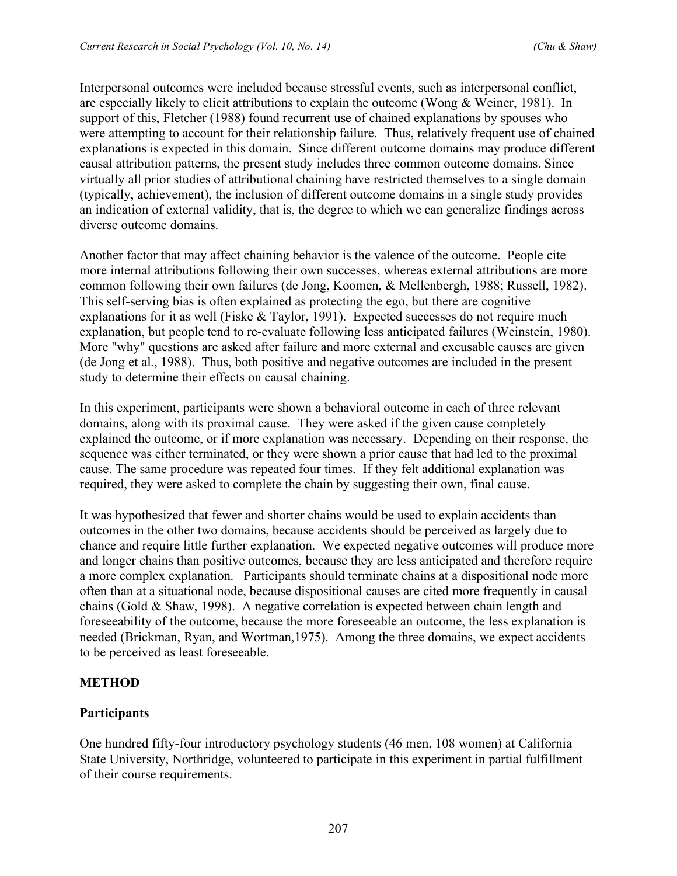Interpersonal outcomes were included because stressful events, such as interpersonal conflict, are especially likely to elicit attributions to explain the outcome (Wong & Weiner, 1981). In support of this, Fletcher (1988) found recurrent use of chained explanations by spouses who were attempting to account for their relationship failure. Thus, relatively frequent use of chained explanations is expected in this domain. Since different outcome domains may produce different causal attribution patterns, the present study includes three common outcome domains. Since virtually all prior studies of attributional chaining have restricted themselves to a single domain (typically, achievement), the inclusion of different outcome domains in a single study provides an indication of external validity, that is, the degree to which we can generalize findings across diverse outcome domains.

Another factor that may affect chaining behavior is the valence of the outcome. People cite more internal attributions following their own successes, whereas external attributions are more common following their own failures (de Jong, Koomen, & Mellenbergh, 1988; Russell, 1982). This self-serving bias is often explained as protecting the ego, but there are cognitive explanations for it as well (Fiske & Taylor, 1991). Expected successes do not require much explanation, but people tend to re-evaluate following less anticipated failures (Weinstein, 1980). More "why" questions are asked after failure and more external and excusable causes are given (de Jong et al., 1988). Thus, both positive and negative outcomes are included in the present study to determine their effects on causal chaining.

In this experiment, participants were shown a behavioral outcome in each of three relevant domains, along with its proximal cause. They were asked if the given cause completely explained the outcome, or if more explanation was necessary. Depending on their response, the sequence was either terminated, or they were shown a prior cause that had led to the proximal cause. The same procedure was repeated four times. If they felt additional explanation was required, they were asked to complete the chain by suggesting their own, final cause.

It was hypothesized that fewer and shorter chains would be used to explain accidents than outcomes in the other two domains, because accidents should be perceived as largely due to chance and require little further explanation. We expected negative outcomes will produce more and longer chains than positive outcomes, because they are less anticipated and therefore require a more complex explanation. Participants should terminate chains at a dispositional node more often than at a situational node, because dispositional causes are cited more frequently in causal chains (Gold & Shaw, 1998). A negative correlation is expected between chain length and foreseeability of the outcome, because the more foreseeable an outcome, the less explanation is needed (Brickman, Ryan, and Wortman,1975). Among the three domains, we expect accidents to be perceived as least foreseeable.

# **METHOD**

# **Participants**

One hundred fifty-four introductory psychology students (46 men, 108 women) at California State University, Northridge, volunteered to participate in this experiment in partial fulfillment of their course requirements.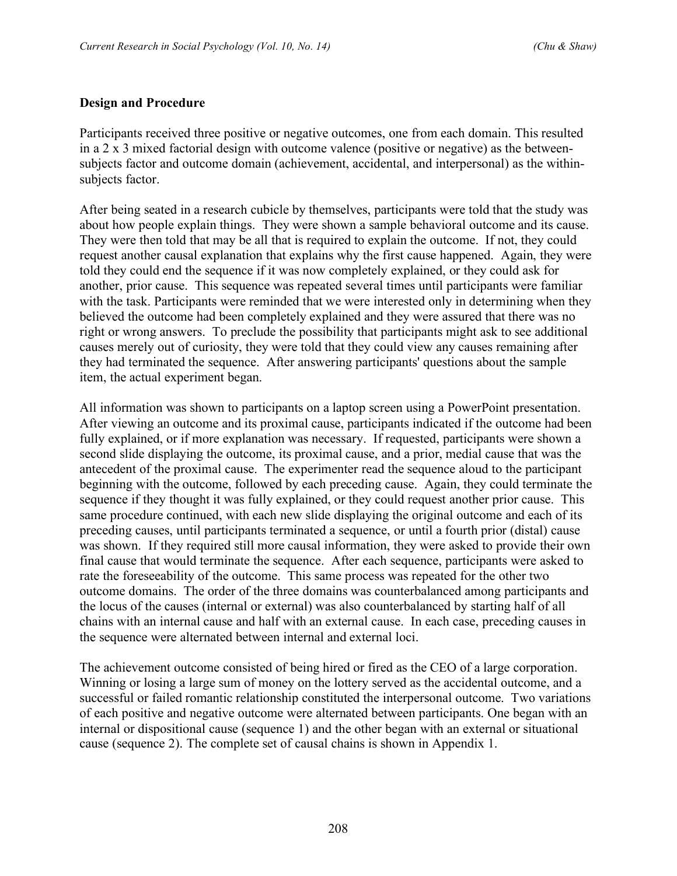### **Design and Procedure**

Participants received three positive or negative outcomes, one from each domain. This resulted in a 2 x 3 mixed factorial design with outcome valence (positive or negative) as the betweensubjects factor and outcome domain (achievement, accidental, and interpersonal) as the withinsubjects factor.

After being seated in a research cubicle by themselves, participants were told that the study was about how people explain things. They were shown a sample behavioral outcome and its cause. They were then told that may be all that is required to explain the outcome. If not, they could request another causal explanation that explains why the first cause happened. Again, they were told they could end the sequence if it was now completely explained, or they could ask for another, prior cause. This sequence was repeated several times until participants were familiar with the task. Participants were reminded that we were interested only in determining when they believed the outcome had been completely explained and they were assured that there was no right or wrong answers. To preclude the possibility that participants might ask to see additional causes merely out of curiosity, they were told that they could view any causes remaining after they had terminated the sequence. After answering participants' questions about the sample item, the actual experiment began.

All information was shown to participants on a laptop screen using a PowerPoint presentation. After viewing an outcome and its proximal cause, participants indicated if the outcome had been fully explained, or if more explanation was necessary. If requested, participants were shown a second slide displaying the outcome, its proximal cause, and a prior, medial cause that was the antecedent of the proximal cause. The experimenter read the sequence aloud to the participant beginning with the outcome, followed by each preceding cause. Again, they could terminate the sequence if they thought it was fully explained, or they could request another prior cause. This same procedure continued, with each new slide displaying the original outcome and each of its preceding causes, until participants terminated a sequence, or until a fourth prior (distal) cause was shown. If they required still more causal information, they were asked to provide their own final cause that would terminate the sequence. After each sequence, participants were asked to rate the foreseeability of the outcome. This same process was repeated for the other two outcome domains. The order of the three domains was counterbalanced among participants and the locus of the causes (internal or external) was also counterbalanced by starting half of all chains with an internal cause and half with an external cause. In each case, preceding causes in the sequence were alternated between internal and external loci.

The achievement outcome consisted of being hired or fired as the CEO of a large corporation. Winning or losing a large sum of money on the lottery served as the accidental outcome, and a successful or failed romantic relationship constituted the interpersonal outcome. Two variations of each positive and negative outcome were alternated between participants. One began with an internal or dispositional cause (sequence 1) and the other began with an external or situational cause (sequence 2). The complete set of causal chains is shown in Appendix 1.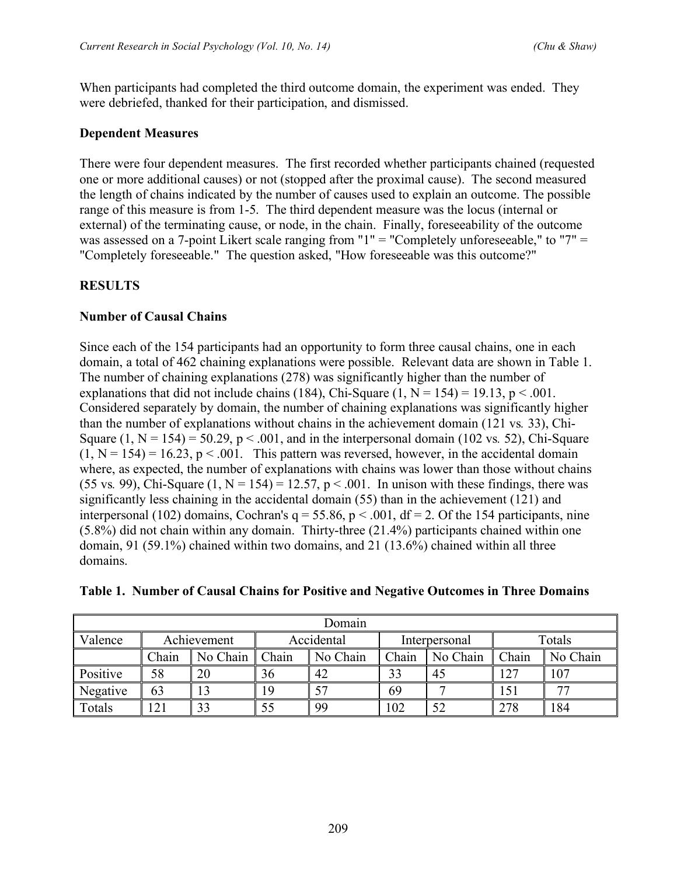When participants had completed the third outcome domain, the experiment was ended. They were debriefed, thanked for their participation, and dismissed.

#### **Dependent Measures**

There were four dependent measures. The first recorded whether participants chained (requested one or more additional causes) or not (stopped after the proximal cause). The second measured the length of chains indicated by the number of causes used to explain an outcome. The possible range of this measure is from 1-5. The third dependent measure was the locus (internal or external) of the terminating cause, or node, in the chain. Finally, foreseeability of the outcome was assessed on a 7-point Likert scale ranging from "1" = "Completely unforeseeable," to "7" = "Completely foreseeable." The question asked, "How foreseeable was this outcome?"

### **RESULTS**

### **Number of Causal Chains**

Since each of the 154 participants had an opportunity to form three causal chains, one in each domain, a total of 462 chaining explanations were possible. Relevant data are shown in Table 1. The number of chaining explanations (278) was significantly higher than the number of explanations that did not include chains (184), Chi-Square (1,  $N = 154$ ) = 19.13, p < .001. Considered separately by domain, the number of chaining explanations was significantly higher than the number of explanations without chains in the achievement domain (121 vs*.* 33), Chi-Square  $(1, N = 154) = 50.29$ ,  $p < .001$ , and in the interpersonal domain (102 vs. 52), Chi-Square  $(1, N = 154) = 16.23$ ,  $p < .001$ . This pattern was reversed, however, in the accidental domain where, as expected, the number of explanations with chains was lower than those without chains (55 vs. 99), Chi-Square  $(1, N = 154) = 12.57$ ,  $p < .001$ . In unison with these findings, there was significantly less chaining in the accidental domain (55) than in the achievement (121) and interpersonal (102) domains, Cochran's  $q = 55.86$ ,  $p < .001$ , df = 2. Of the 154 participants, nine (5.8%) did not chain within any domain. Thirty-three (21.4%) participants chained within one domain, 91 (59.1%) chained within two domains, and 21 (13.6%) chained within all three domains.

| Domain          |       |             |       |            |               |          |        |          |
|-----------------|-------|-------------|-------|------------|---------------|----------|--------|----------|
|                 |       |             |       |            |               |          |        |          |
| Valence         |       | Achievement |       | Accidental | Interpersonal |          | Totals |          |
|                 | Chain | No Chain    | Chain | No Chain   | Chain         | No Chain | Chain  | No Chain |
| <b>Positive</b> | 58    | 20          | 36    | 42         | 33            | 45       | 127    | 107      |
| Negative        | 63    |             | 19    | 57         | 69            |          | 151    |          |
| Totals          |       |             | 55    | 99         | 102           | 52       | 278    | 184      |

### **Table 1. Number of Causal Chains for Positive and Negative Outcomes in Three Domains**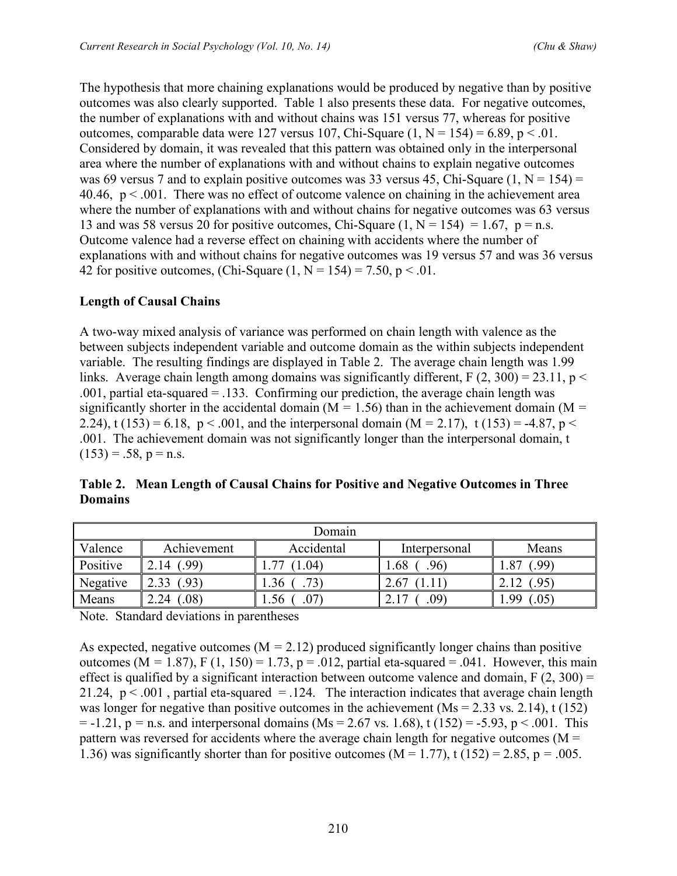The hypothesis that more chaining explanations would be produced by negative than by positive outcomes was also clearly supported. Table 1 also presents these data. For negative outcomes, the number of explanations with and without chains was 151 versus 77, whereas for positive outcomes, comparable data were 127 versus 107, Chi-Square  $(1, N = 154) = 6.89$ , p < .01. Considered by domain, it was revealed that this pattern was obtained only in the interpersonal area where the number of explanations with and without chains to explain negative outcomes was 69 versus 7 and to explain positive outcomes was 33 versus 45, Chi-Square  $(1, N = 154) =$ 40.46,  $p < 0.001$ . There was no effect of outcome valence on chaining in the achievement area where the number of explanations with and without chains for negative outcomes was 63 versus 13 and was 58 versus 20 for positive outcomes, Chi-Square  $(1, N = 154) = 1.67$ , p = n.s. Outcome valence had a reverse effect on chaining with accidents where the number of explanations with and without chains for negative outcomes was 19 versus 57 and was 36 versus 42 for positive outcomes, (Chi-Square  $(1, N = 154) = 7.50$ , p < .01.

# **Length of Causal Chains**

A two-way mixed analysis of variance was performed on chain length with valence as the between subjects independent variable and outcome domain as the within subjects independent variable. The resulting findings are displayed in Table 2. The average chain length was 1.99 links. Average chain length among domains was significantly different,  $F(2, 300) = 23.11$ ,  $p <$ .001, partial eta-squared = .133. Confirming our prediction, the average chain length was significantly shorter in the accidental domain ( $M = 1.56$ ) than in the achievement domain ( $M =$ 2.24), t (153) = 6.18,  $p < .001$ , and the interpersonal domain (M = 2.17), t (153) = -4.87,  $p <$ .001. The achievement domain was not significantly longer than the interpersonal domain, t  $(153) = .58$ ,  $p = n.s$ .

| Domain   |                      |            |                       |                     |  |  |  |
|----------|----------------------|------------|-----------------------|---------------------|--|--|--|
| Valence  | Achievement          | Accidental | Interpersonal         | Means               |  |  |  |
| Positive | $.99^{\circ}$<br>14  | 04         | $.96^{\circ}$<br>1.68 | 99)<br>$\cdot$ O    |  |  |  |
| Negative | $.93^{\circ}$        | .36        | 2.67                  | $.95^{\circ}$       |  |  |  |
| Means    | $.08^{\circ}$<br>.24 | 07<br>.56  | $.09^{\circ}$         | 99<br>$.05^{\circ}$ |  |  |  |

**Table 2. Mean Length of Causal Chains for Positive and Negative Outcomes in Three Domains**

Note. Standard deviations in parentheses

As expected, negative outcomes ( $M = 2.12$ ) produced significantly longer chains than positive outcomes ( $M = 1.87$ ),  $F(1, 150) = 1.73$ ,  $p = .012$ , partial eta-squared = .041. However, this main effect is qualified by a significant interaction between outcome valence and domain,  $F(2, 300) =$ 21.24,  $p < .001$ , partial eta-squared = .124. The interaction indicates that average chain length was longer for negative than positive outcomes in the achievement ( $Ms = 2.33$  vs. 2.14), t (152)  $= -1.21$ ,  $p = n.s.$  and interpersonal domains (Ms = 2.67 vs. 1.68), t (152) = -5.93, p < .001. This pattern was reversed for accidents where the average chain length for negative outcomes ( $M =$ 1.36) was significantly shorter than for positive outcomes  $(M = 1.77)$ , t  $(152) = 2.85$ ,  $p = .005$ .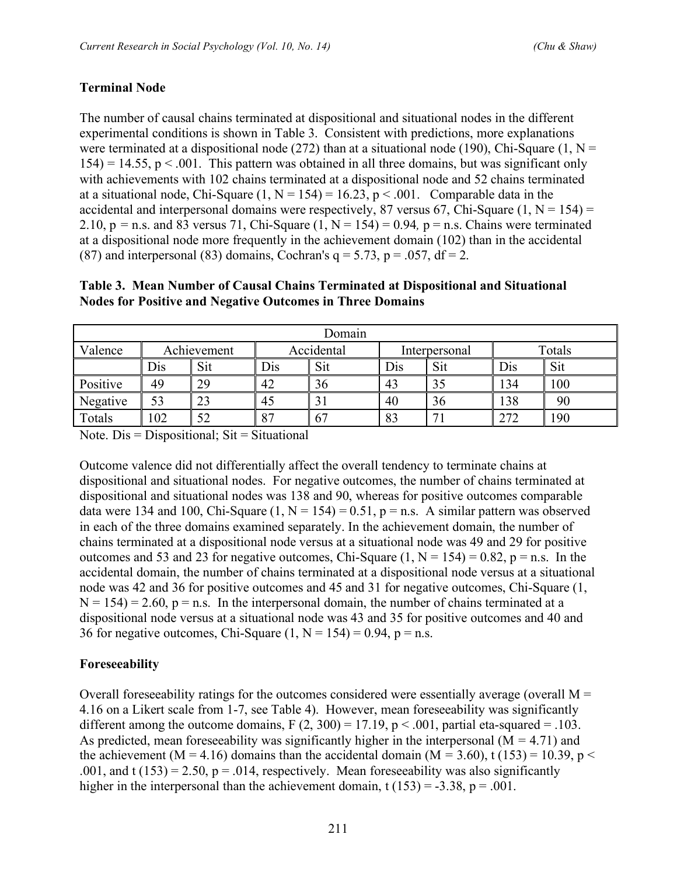### **Terminal Node**

The number of causal chains terminated at dispositional and situational nodes in the different experimental conditions is shown in Table 3. Consistent with predictions, more explanations were terminated at a dispositional node (272) than at a situational node (190), Chi-Square (1,  $N =$  $154$ ) = 14.55, p < .001. This pattern was obtained in all three domains, but was significant only with achievements with 102 chains terminated at a dispositional node and 52 chains terminated at a situational node, Chi-Square  $(1, N = 154) = 16.23$ , p < .001. Comparable data in the accidental and interpersonal domains were respectively, 87 versus 67, Chi-Square  $(1, N = 154)$  = 2.10,  $p = n.s.$  and 83 versus 71, Chi-Square  $(1, N = 154) = 0.94$ ,  $p = n.s.$  Chains were terminated at a dispositional node more frequently in the achievement domain (102) than in the accidental (87) and interpersonal (83) domains, Cochran's  $q = 5.73$ ,  $p = .057$ ,  $df = 2$ .

| Table 3. Mean Number of Causal Chains Terminated at Dispositional and Situational |  |  |
|-----------------------------------------------------------------------------------|--|--|
| <b>Nodes for Positive and Negative Outcomes in Three Domains</b>                  |  |  |

| Domain   |     |             |            |    |               |     |        |     |
|----------|-----|-------------|------------|----|---------------|-----|--------|-----|
| Valence  |     | Achievement | Accidental |    | Interpersonal |     | Totals |     |
|          | Dis | Sit         | Sit<br>Dis |    | Dis           | Sit | Dis    | Sit |
| Positive | 49  | 29          | 42         | 36 | 43            | 35  | 134    | 100 |
| Negative | 53  | 23          | 45         | ЭI | 40            | 36  | 138    | 90  |
| Totals   | 02  | 52          | 87         | 67 | 83            | −   | 272    | 190 |

Note.  $Dis = Dispositional$ ;  $Sit = Situational$ 

Outcome valence did not differentially affect the overall tendency to terminate chains at dispositional and situational nodes. For negative outcomes, the number of chains terminated at dispositional and situational nodes was 138 and 90, whereas for positive outcomes comparable data were 134 and 100, Chi-Square  $(1, N = 154) = 0.51$ , p = n.s. A similar pattern was observed in each of the three domains examined separately. In the achievement domain, the number of chains terminated at a dispositional node versus at a situational node was 49 and 29 for positive outcomes and 53 and 23 for negative outcomes, Chi-Square  $(1, N = 154) = 0.82$ ,  $p = n.s$ . In the accidental domain, the number of chains terminated at a dispositional node versus at a situational node was 42 and 36 for positive outcomes and 45 and 31 for negative outcomes, Chi-Square (1,  $N = 154$ ) = 2.60, p = n.s. In the interpersonal domain, the number of chains terminated at a dispositional node versus at a situational node was 43 and 35 for positive outcomes and 40 and 36 for negative outcomes, Chi-Square  $(1, N = 154) = 0.94$ , p = n.s.

### **Foreseeability**

Overall foreseeability ratings for the outcomes considered were essentially average (overall  $M =$ 4.16 on a Likert scale from 1-7, see Table 4). However, mean foreseeability was significantly different among the outcome domains,  $F(2, 300) = 17.19$ ,  $p < .001$ , partial eta-squared = .103. As predicted, mean foreseeability was significantly higher in the interpersonal (M *=* 4.71) and the achievement (M = 4.16) domains than the accidental domain (M = 3.60), t (153) = 10.39, p < .001, and t (153) = 2.50,  $p = 0.014$ , respectively. Mean foreseeability was also significantly higher in the interpersonal than the achievement domain,  $t(153) = -3.38$ ,  $p = .001$ .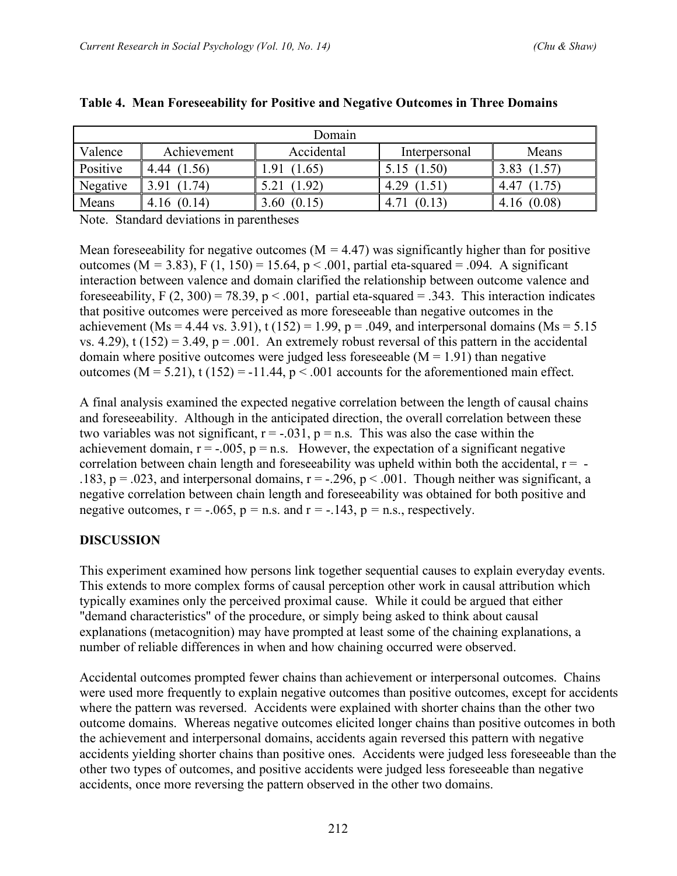| Domain   |                |                |                |                |  |  |  |
|----------|----------------|----------------|----------------|----------------|--|--|--|
| Valence  | Achievement    | Accidental     | Interpersonal  | Means          |  |  |  |
| Positive | (1.56)<br>4.44 | .91<br>1.65    | (1.50)<br>5.15 | 3.83           |  |  |  |
| Negative | .91<br>74)     | (1.92)         | 4.29<br>(1.51) | 1.75<br>4.47   |  |  |  |
| Means    | (0.14)<br>4.16 | (0.15)<br>3.60 | (0.13)<br>4.   | (0.08)<br>4.16 |  |  |  |

#### **Table 4. Mean Foreseeability for Positive and Negative Outcomes in Three Domains**

Note. Standard deviations in parentheses

Mean foreseeability for negative outcomes ( $M = 4.47$ ) was significantly higher than for positive outcomes ( $M = 3.83$ ),  $F(1, 150) = 15.64$ ,  $p < .001$ , partial eta-squared = .094. A significant interaction between valence and domain clarified the relationship between outcome valence and foreseeability, F (2, 300) = 78.39, p < .001, partial eta-squared = .343. This interaction indicates that positive outcomes were perceived as more foreseeable than negative outcomes in the achievement (Ms = 4.44 vs. 3.91), t (152) = 1.99,  $p = .049$ , and interpersonal domains (Ms = 5.15) vs. 4.29), t (152) = 3.49,  $p = .001$ . An extremely robust reversal of this pattern in the accidental domain where positive outcomes were judged less foreseeable  $(M = 1.91)$  than negative outcomes ( $M = 5.21$ ), t (152) = -11.44,  $p < .001$  accounts for the aforementioned main effect.

A final analysis examined the expected negative correlation between the length of causal chains and foreseeability. Although in the anticipated direction, the overall correlation between these two variables was not significant,  $r = -0.031$ ,  $p = n.s$ . This was also the case within the achievement domain,  $r = -0.005$ ,  $p = n.s$ . However, the expectation of a significant negative correlation between chain length and foreseeability was upheld within both the accidental,  $r = -$ .183,  $p = .023$ , and interpersonal domains,  $r = -.296$ ,  $p < .001$ . Though neither was significant, a negative correlation between chain length and foreseeability was obtained for both positive and negative outcomes,  $r = -.065$ ,  $p = n.s.$  and  $r = -.143$ ,  $p = n.s.$ , respectively.

### **DISCUSSION**

This experiment examined how persons link together sequential causes to explain everyday events. This extends to more complex forms of causal perception other work in causal attribution which typically examines only the perceived proximal cause. While it could be argued that either "demand characteristics" of the procedure, or simply being asked to think about causal explanations (metacognition) may have prompted at least some of the chaining explanations, a number of reliable differences in when and how chaining occurred were observed.

Accidental outcomes prompted fewer chains than achievement or interpersonal outcomes. Chains were used more frequently to explain negative outcomes than positive outcomes, except for accidents where the pattern was reversed. Accidents were explained with shorter chains than the other two outcome domains. Whereas negative outcomes elicited longer chains than positive outcomes in both the achievement and interpersonal domains, accidents again reversed this pattern with negative accidents yielding shorter chains than positive ones. Accidents were judged less foreseeable than the other two types of outcomes, and positive accidents were judged less foreseeable than negative accidents, once more reversing the pattern observed in the other two domains.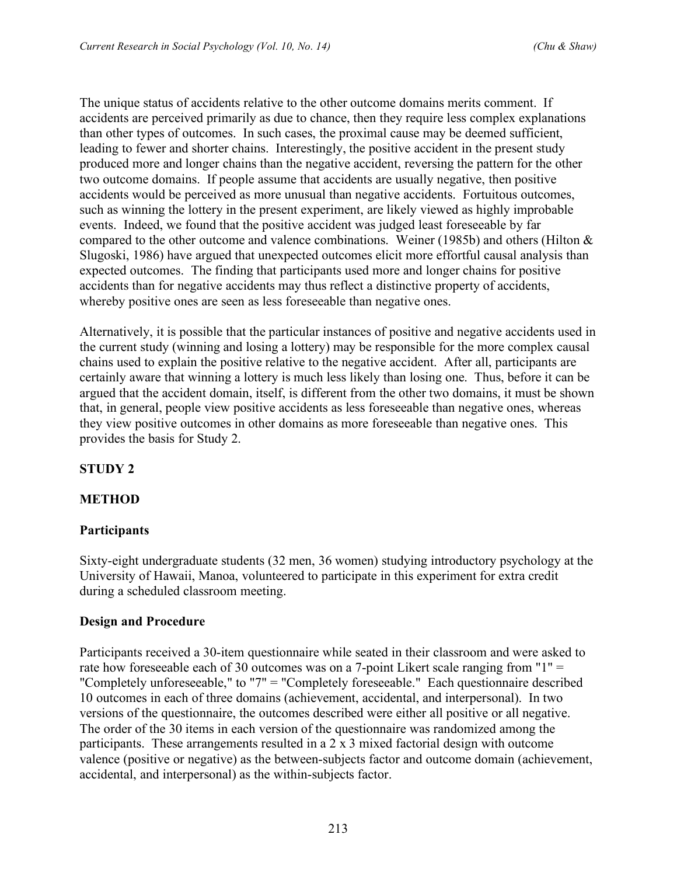The unique status of accidents relative to the other outcome domains merits comment. If accidents are perceived primarily as due to chance, then they require less complex explanations than other types of outcomes. In such cases, the proximal cause may be deemed sufficient, leading to fewer and shorter chains. Interestingly, the positive accident in the present study produced more and longer chains than the negative accident, reversing the pattern for the other two outcome domains. If people assume that accidents are usually negative, then positive accidents would be perceived as more unusual than negative accidents. Fortuitous outcomes, such as winning the lottery in the present experiment, are likely viewed as highly improbable events. Indeed, we found that the positive accident was judged least foreseeable by far compared to the other outcome and valence combinations. Weiner (1985b) and others (Hilton & Slugoski, 1986) have argued that unexpected outcomes elicit more effortful causal analysis than expected outcomes. The finding that participants used more and longer chains for positive accidents than for negative accidents may thus reflect a distinctive property of accidents, whereby positive ones are seen as less fore seeable than negative ones.

Alternatively, it is possible that the particular instances of positive and negative accidents used in the current study (winning and losing a lottery) may be responsible for the more complex causal chains used to explain the positive relative to the negative accident. After all, participants are certainly aware that winning a lottery is much less likely than losing one. Thus, before it can be argued that the accident domain, itself, is different from the other two domains, it must be shown that, in general, people view positive accidents as less foreseeable than negative ones, whereas they view positive outcomes in other domains as more foreseeable than negative ones. This provides the basis for Study 2.

# **STUDY 2**

# **METHOD**

# **Participants**

Sixty-eight undergraduate students (32 men, 36 women) studying introductory psychology at the University of Hawaii, Manoa, volunteered to participate in this experiment for extra credit during a scheduled classroom meeting.

### **Design and Procedure**

Participants received a 30-item questionnaire while seated in their classroom and were asked to rate how foreseeable each of 30 outcomes was on a 7-point Likert scale ranging from "1" = "Completely unforeseeable," to "7" = "Completely foreseeable." Each questionnaire described 10 outcomes in each of three domains (achievement, accidental, and interpersonal). In two versions of the questionnaire, the outcomes described were either all positive or all negative. The order of the 30 items in each version of the questionnaire was randomized among the participants. These arrangements resulted in a 2 x 3 mixed factorial design with outcome valence (positive or negative) as the between-subjects factor and outcome domain (achievement, accidental, and interpersonal) as the within-subjects factor.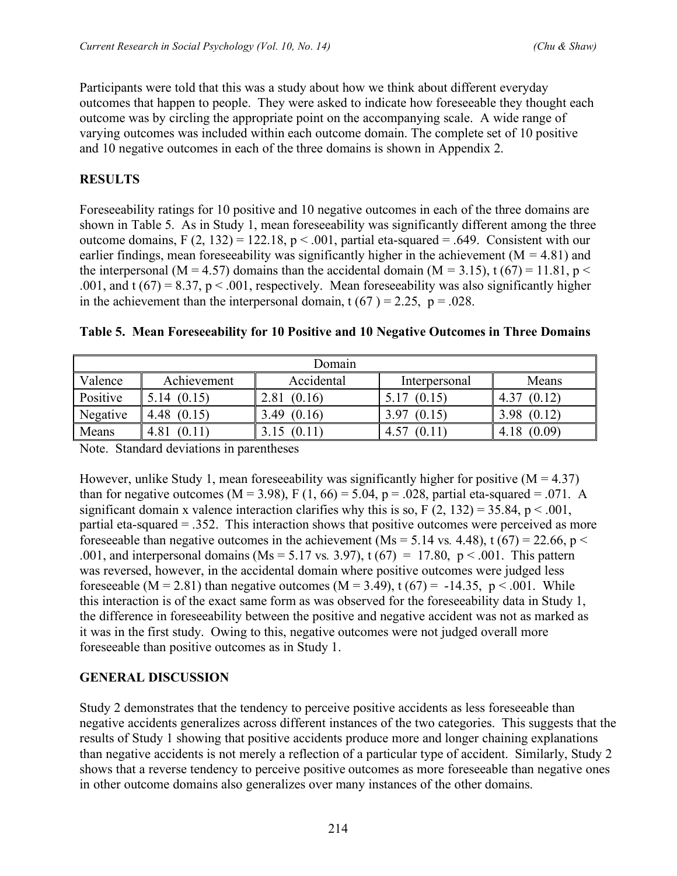Participants were told that this was a study about how we think about different everyday outcomes that happen to people. They were asked to indicate how foreseeable they thought each outcome was by circling the appropriate point on the accompanying scale. A wide range of varying outcomes was included within each outcome domain. The complete set of 10 positive and 10 negative outcomes in each of the three domains is shown in Appendix 2.

# **RESULTS**

Foreseeability ratings for 10 positive and 10 negative outcomes in each of the three domains are shown in Table 5. As in Study 1, mean foreseeability was significantly different among the three outcome domains, F  $(2, 132) = 122.18$ , p < .001, partial eta-squared = .649. Consistent with our earlier findings, mean foreseeability was significantly higher in the achievement (M *=* 4.81) and the interpersonal (M = 4.57) domains than the accidental domain (M = 3.15), t (67) = 11.81, p < .001, and t  $(67) = 8.37$ ,  $p < .001$ , respectively. Mean foreseeability was also significantly higher in the achievement than the interpersonal domain,  $t (67) = 2.25$ ,  $p = .028$ .

| Domain          |                |                |                          |                |  |  |  |
|-----------------|----------------|----------------|--------------------------|----------------|--|--|--|
| Valence         | Achievement    | Accidental     | Interpersonal            | Means          |  |  |  |
| <b>Positive</b> | (0.15)<br>5.14 | (0.16)<br>2.81 | (0.15)                   | (0.12)<br>4.37 |  |  |  |
| Negative        | 4.48           | (0.16)<br>3.49 | (0.15)<br>3.97           | (0.12)<br>3.98 |  |  |  |
| <b>Means</b>    | 4.81           | (0.11)         | $^{\circ}$ (0.1)<br>4.57 | (0.09)<br>4.18 |  |  |  |

|  |  | Table 5. Mean Foreseeability for 10 Positive and 10 Negative Outcomes in Three Domains |  |  |  |  |  |  |  |  |
|--|--|----------------------------------------------------------------------------------------|--|--|--|--|--|--|--|--|
|--|--|----------------------------------------------------------------------------------------|--|--|--|--|--|--|--|--|

Note. Standard deviations in parentheses

However, unlike Study 1, mean foreseeability was significantly higher for positive  $(M = 4.37)$ than for negative outcomes ( $M = 3.98$ ), F (1, 66) = 5.04, p = .028, partial eta-squared = .071. A significant domain x valence interaction clarifies why this is so,  $F(2, 132) = 35.84$ ,  $p < .001$ , partial eta-squared = .352. This interaction shows that positive outcomes were perceived as more foreseeable than negative outcomes in the achievement (Ms = 5.14 vs. 4.48), t (67) = 22.66, p < .001, and interpersonal domains (Ms = 5.17 vs. 3.97),  $t(67) = 17.80$ ,  $p < .001$ . This pattern was reversed, however, in the accidental domain where positive outcomes were judged less foreseeable (M = 2.81) than negative outcomes (M = 3.49),  $t(67) = -14.35$ ,  $p < .001$ . While this interaction is of the exact same form as was observed for the foreseeability data in Study 1, the difference in foreseeability between the positive and negative accident was not as marked as it was in the first study. Owing to this, negative outcomes were not judged overall more foreseeable than positive outcomes as in Study 1.

# **GENERAL DISCUSSION**

Study 2 demonstrates that the tendency to perceive positive accidents as less foreseeable than negative accidents generalizes across different instances of the two categories. This suggests that the results of Study 1 showing that positive accidents produce more and longer chaining explanations than negative accidents is not merely a reflection of a particular type of accident. Similarly, Study 2 shows that a reverse tendency to perceive positive outcomes as more foreseeable than negative ones in other outcome domains also generalizes over many instances of the other domains.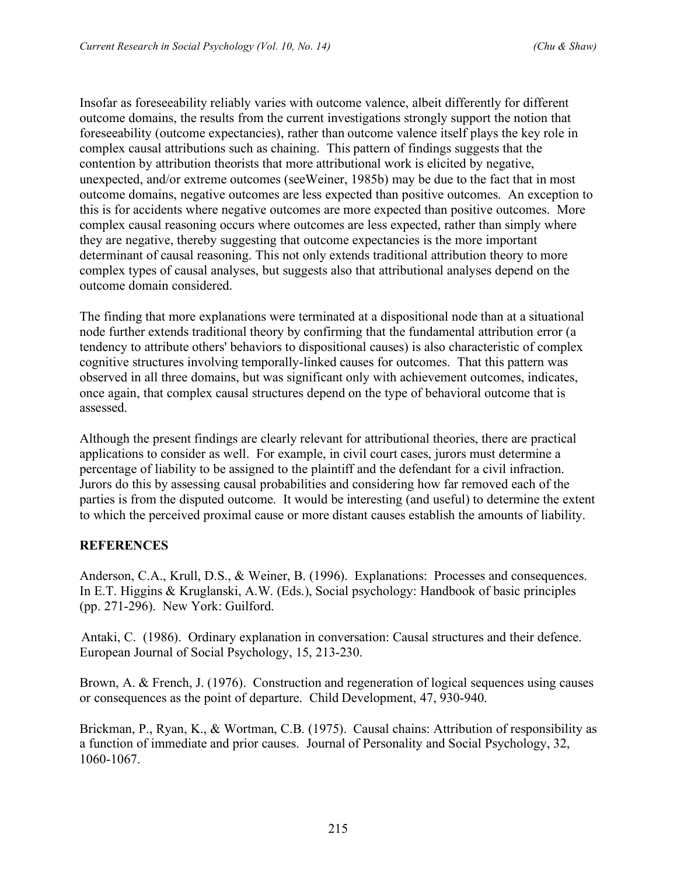Insofar as foreseeability reliably varies with outcome valence, albeit differently for different outcome domains, the results from the current investigations strongly support the notion that foreseeability (outcome expectancies), rather than outcome valence itself plays the key role in complex causal attributions such as chaining. This pattern of findings suggests that the contention by attribution theorists that more attributional work is elicited by negative, unexpected, and/or extreme outcomes (seeWeiner, 1985b) may be due to the fact that in most outcome domains, negative outcomes are less expected than positive outcomes. An exception to this is for accidents where negative outcomes are more expected than positive outcomes. More complex causal reasoning occurs where outcomes are less expected, rather than simply where they are negative, thereby suggesting that outcome expectancies is the more important determinant of causal reasoning. This not only extends traditional attribution theory to more complex types of causal analyses, but suggests also that attributional analyses depend on the outcome domain considered.

The finding that more explanations were terminated at a dispositional node than at a situational node further extends traditional theory by confirming that the fundamental attribution error (a tendency to attribute others' behaviors to dispositional causes) is also characteristic of complex cognitive structures involving temporally-linked causes for outcomes. That this pattern was observed in all three domains, but was significant only with achievement outcomes, indicates, once again, that complex causal structures depend on the type of behavioral outcome that is assessed.

Although the present findings are clearly relevant for attributional theories, there are practical applications to consider as well. For example, in civil court cases, jurors must determine a percentage of liability to be assigned to the plaintiff and the defendant for a civil infraction. Jurors do this by assessing causal probabilities and considering how far removed each of the parties is from the disputed outcome. It would be interesting (and useful) to determine the extent to which the perceived proximal cause or more distant causes establish the amounts of liability.

# **REFERENCES**

Anderson, C.A., Krull, D.S., & Weiner, B. (1996). Explanations: Processes and consequences. In E.T. Higgins & Kruglanski, A.W. (Eds.), Social psychology: Handbook of basic principles (pp. 271-296). New York: Guilford.

Antaki, C. (1986). Ordinary explanation in conversation: Causal structures and their defence. European Journal of Social Psychology, 15, 213-230.

Brown, A. & French, J. (1976). Construction and regeneration of logical sequences using causes or consequences as the point of departure. Child Development, 47, 930-940.

Brickman, P., Ryan, K., & Wortman, C.B. (1975). Causal chains: Attribution of responsibility as a function of immediate and prior causes. Journal of Personality and Social Psychology, 32, 1060-1067.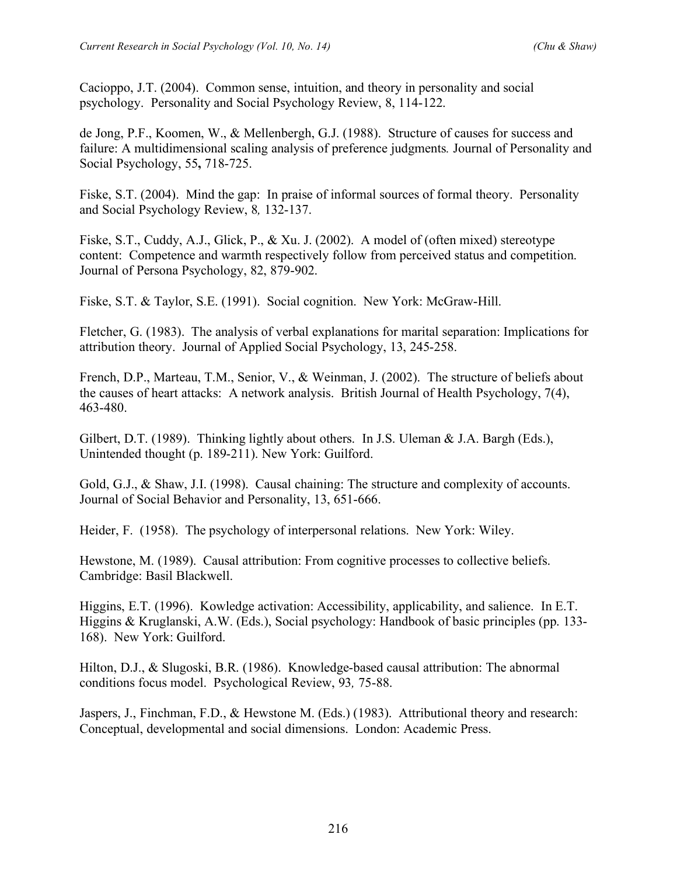Cacioppo, J.T. (2004). Common sense, intuition, and theory in personality and social psychology. Personality and Social Psychology Review, 8, 114-122.

de Jong, P.F., Koomen, W., & Mellenbergh, G.J. (1988). Structure of causes for success and failure: A multidimensional scaling analysis of preference judgments*.* Journal of Personality and Social Psychology, 55**,** 718-725.

Fiske, S.T. (2004). Mind the gap: In praise of informal sources of formal theory. Personality and Social Psychology Review, 8*,* 132-137.

Fiske, S.T., Cuddy, A.J., Glick, P., & Xu. J. (2002). A model of (often mixed) stereotype content: Competence and warmth respectively follow from perceived status and competition. Journal of Persona Psychology, 82, 879-902.

Fiske, S.T. & Taylor, S.E. (1991). Social cognition. New York: McGraw-Hill.

Fletcher, G. (1983). The analysis of verbal explanations for marital separation: Implications for attribution theory. Journal of Applied Social Psychology, 13, 245-258.

French, D.P., Marteau, T.M., Senior, V., & Weinman, J. (2002). The structure of beliefs about the causes of heart attacks: A network analysis. British Journal of Health Psychology, 7(4), 463-480.

Gilbert, D.T. (1989). Thinking lightly about others. In J.S. Uleman & J.A. Bargh (Eds.), Unintended thought (p. 189-211). New York: Guilford.

Gold, G.J., & Shaw, J.I. (1998). Causal chaining: The structure and complexity of accounts. Journal of Social Behavior and Personality, 13, 651-666.

Heider, F. (1958). The psychology of interpersonal relations. New York: Wiley.

Hewstone, M. (1989). Causal attribution: From cognitive processes to collective beliefs. Cambridge: Basil Blackwell.

Higgins, E.T. (1996). Kowledge activation: Accessibility, applicability, and salience. In E.T. Higgins & Kruglanski, A.W. (Eds.), Social psychology: Handbook of basic principles (pp. 133- 168). New York: Guilford.

Hilton, D.J., & Slugoski, B.R. (1986). Knowledge-based causal attribution: The abnormal conditions focus model. Psychological Review, 93*,* 75-88.

Jaspers, J., Finchman, F.D., & Hewstone M. (Eds.) (1983). Attributional theory and research: Conceptual, developmental and social dimensions. London: Academic Press.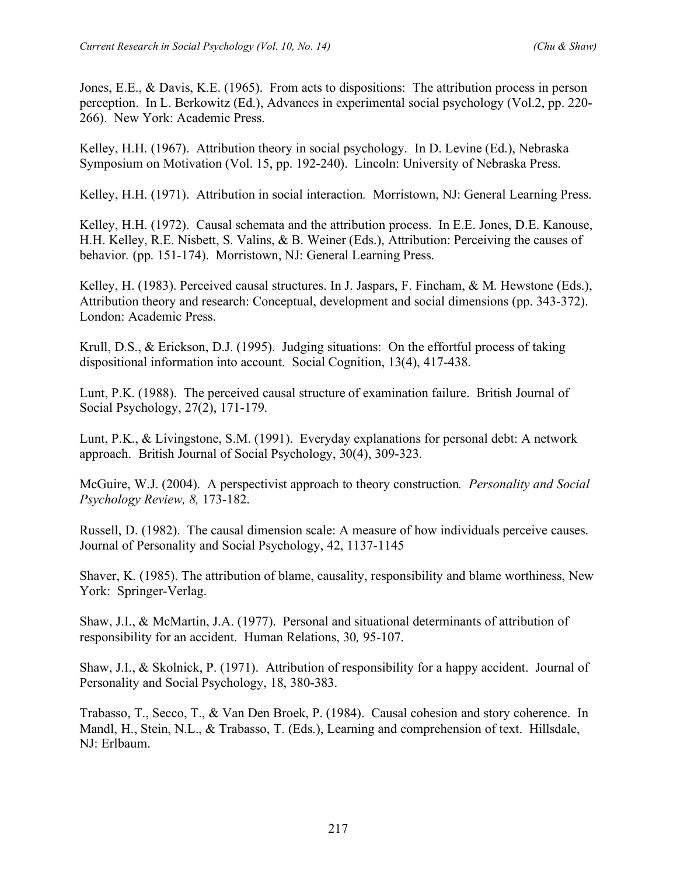Jones, E.E., & Davis, K.E. (1965). From acts to dispositions: The attribution process in person perception. In L. Berkowitz (Ed.), Advances in experimental social psychology (Vol.2, pp. 220- 266). New York: Academic Press.

Kelley, H.H. (1967). Attribution theory in social psychology. In D. Levine (Ed.), Nebraska Symposium on Motivation (Vol. 15, pp. 192-240). Lincoln: University of Nebraska Press.

Kelley, H.H. (1971). Attribution in social interaction*.* Morristown, NJ: General Learning Press.

Kelley, H.H. (1972). Causal schemata and the attribution process. In E.E. Jones, D.E. Kanouse, H.H. Kelley, R.E. Nisbett, S. Valins, & B. Weiner (Eds.), Attribution: Perceiving the causes of behavior*.* (pp. 151-174). Morristown, NJ: General Learning Press.

Kelley, H. (1983). Perceived causal structures. In J. Jaspars, F. Fincham, & M. Hewstone (Eds.), Attribution theory and research: Conceptual, development and social dimensions (pp. 343-372). London: Academic Press.

Krull, D.S., & Erickson, D.J. (1995). Judging situations: On the effortful process of taking dispositional information into account. Social Cognition, 13(4), 417-438.

Lunt, P.K. (1988). The perceived causal structure of examination failure. British Journal of Social Psychology, 27(2), 171-179.

Lunt, P.K., & Livingstone, S.M. (1991). Everyday explanations for personal debt: A network approach. British Journal of Social Psychology, 30(4), 309-323.

McGuire, W.J. (2004). A perspectivist approach to theory construction*. Personality and Social Psychology Review, 8,* 173-182.

Russell, D. (1982). The causal dimension scale: A measure of how individuals perceive causes. Journal of Personality and Social Psychology, 42, 1137-1145

Shaver, K. (1985). The attribution of blame, causality, responsibility and blame worthiness, New York: Springer-Verlag.

Shaw, J.I., & McMartin, J.A. (1977). Personal and situational determinants of attribution of responsibility for an accident. Human Relations, 30*,* 95-107.

Shaw, J.I., & Skolnick, P. (1971). Attribution of responsibility for a happy accident. Journal of Personality and Social Psychology, 18, 380-383.

Trabasso, T., Secco, T., & Van Den Broek, P. (1984). Causal cohesion and story coherence. In Mandl, H., Stein, N.L., & Trabasso, T. (Eds.), Learning and comprehension of text. Hillsdale, NJ: Erlbaum.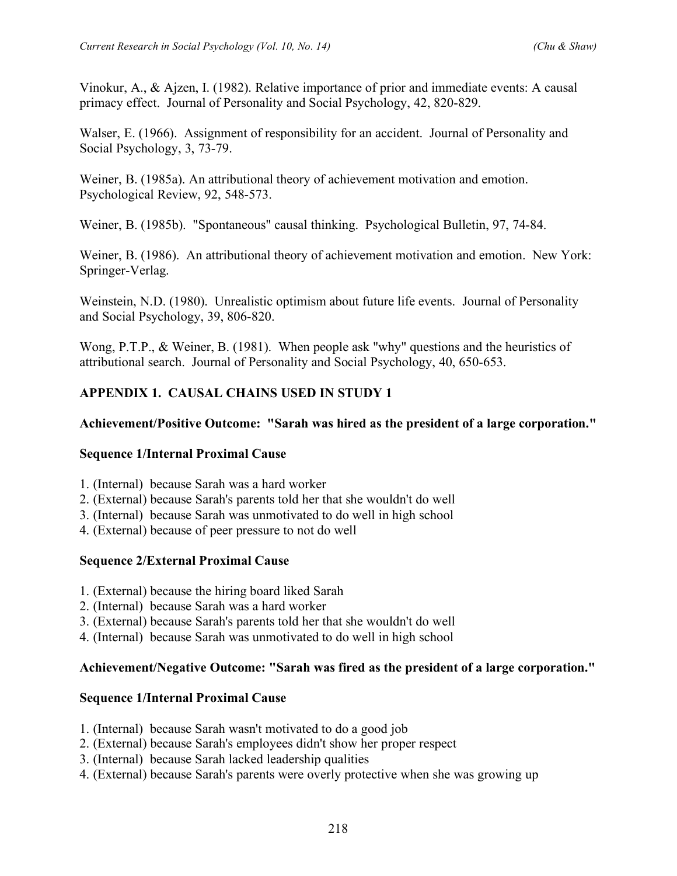Vinokur, A., & Ajzen, I. (1982). Relative importance of prior and immediate events: A causal primacy effect. Journal of Personality and Social Psychology, 42, 820-829.

Walser, E. (1966). Assignment of responsibility for an accident. Journal of Personality and Social Psychology, 3, 73-79.

Weiner, B. (1985a). An attributional theory of achievement motivation and emotion. Psychological Review, 92, 548-573.

Weiner, B. (1985b). "Spontaneous" causal thinking. Psychological Bulletin, 97, 74-84.

Weiner, B. (1986). An attributional theory of achievement motivation and emotion. New York: Springer-Verlag.

Weinstein, N.D. (1980). Unrealistic optimism about future life events. Journal of Personality and Social Psychology, 39, 806-820.

Wong, P.T.P., & Weiner, B. (1981). When people ask "why" questions and the heuristics of attributional search. Journal of Personality and Social Psychology, 40, 650-653.

# **APPENDIX 1. CAUSAL CHAINS USED IN STUDY 1**

# **Achievement/Positive Outcome: "Sarah was hired as the president of a large corporation."**

# **Sequence 1/Internal Proximal Cause**

- 1. (Internal) because Sarah was a hard worker
- 2. (External) because Sarah's parents told her that she wouldn't do well
- 3. (Internal) because Sarah was unmotivated to do well in high school
- 4. (External) because of peer pressure to not do well

# **Sequence 2/External Proximal Cause**

- 1. (External) because the hiring board liked Sarah
- 2. (Internal) because Sarah was a hard worker
- 3. (External) because Sarah's parents told her that she wouldn't do well
- 4. (Internal) because Sarah was unmotivated to do well in high school

# **Achievement/Negative Outcome: "Sarah was fired as the president of a large corporation."**

### **Sequence 1/Internal Proximal Cause**

- 1. (Internal) because Sarah wasn't motivated to do a good job
- 2. (External) because Sarah's employees didn't show her proper respect
- 3. (Internal) because Sarah lacked leadership qualities
- 4. (External) because Sarah's parents were overly protective when she was growing up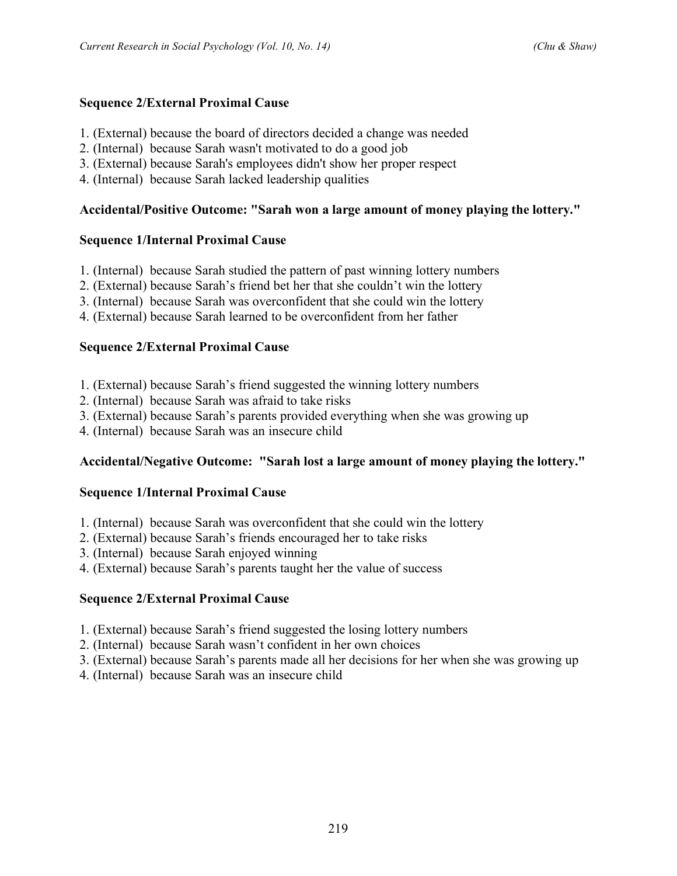- 1. (External) because the board of directors decided a change was needed
- 2. (Internal) because Sarah wasn't motivated to do a good job
- 3. (External) because Sarah's employees didn't show her proper respect
- 4. (Internal) because Sarah lacked leadership qualities

# **Accidental/Positive Outcome: "Sarah won a large amount of money playing the lottery."**

### **Sequence 1/Internal Proximal Cause**

- 1. (Internal) because Sarah studied the pattern of past winning lottery numbers
- 2. (External) because Sarah's friend bet her that she couldn't win the lottery
- 3. (Internal) because Sarah was overconfident that she could win the lottery
- 4. (External) because Sarah learned to be overconfident from her father

# **Sequence 2/External Proximal Cause**

- 1. (External) because Sarah's friend suggested the winning lottery numbers
- 2. (Internal) because Sarah was afraid to take risks
- 3. (External) because Sarah's parents provided everything when she was growing up
- 4. (Internal) because Sarah was an insecure child

# **Accidental/Negative Outcome: "Sarah lost a large amount of money playing the lottery."**

# **Sequence 1/Internal Proximal Cause**

- 1. (Internal) because Sarah was overconfident that she could win the lottery
- 2. (External) because Sarah's friends encouraged her to take risks
- 3. (Internal) because Sarah enjoyed winning
- 4. (External) because Sarah's parents taught her the value of success

# **Sequence 2/External Proximal Cause**

- 1. (External) because Sarah's friend suggested the losing lottery numbers
- 2. (Internal) because Sarah wasn't confident in her own choices
- 3. (External) because Sarah's parents made all her decisions for her when she was growing up
- 4. (Internal) because Sarah was an insecure child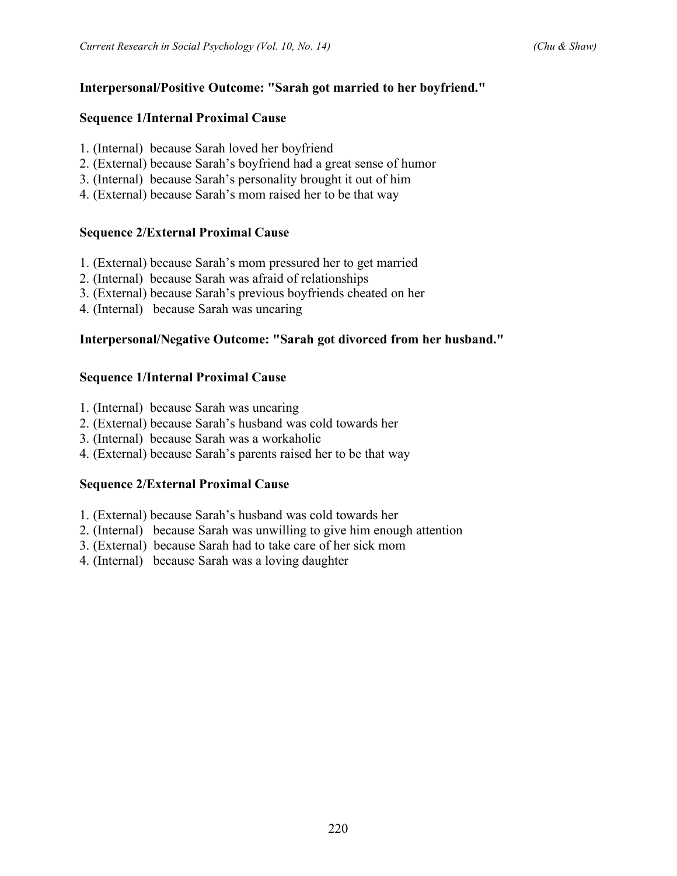### **Interpersonal/Positive Outcome: "Sarah got married to her boyfriend."**

#### **Sequence 1/Internal Proximal Cause**

- 1. (Internal) because Sarah loved her boyfriend
- 2. (External) because Sarah's boyfriend had a great sense of humor
- 3. (Internal) because Sarah's personality brought it out of him
- 4. (External) because Sarah's mom raised her to be that way

### **Sequence 2/External Proximal Cause**

- 1. (External) because Sarah's mom pressured her to get married
- 2. (Internal) because Sarah was afraid of relationships
- 3. (External) because Sarah's previous boyfriends cheated on her
- 4. (Internal) because Sarah was uncaring

### **Interpersonal/Negative Outcome: "Sarah got divorced from her husband."**

### **Sequence 1/Internal Proximal Cause**

- 1. (Internal) because Sarah was uncaring
- 2. (External) because Sarah's husband was cold towards her
- 3. (Internal) because Sarah was a workaholic
- 4. (External) because Sarah's parents raised her to be that way

### **Sequence 2/External Proximal Cause**

- 1. (External) because Sarah's husband was cold towards her
- 2. (Internal) because Sarah was unwilling to give him enough attention
- 3. (External) because Sarah had to take care of her sick mom
- 4. (Internal) because Sarah was a loving daughter